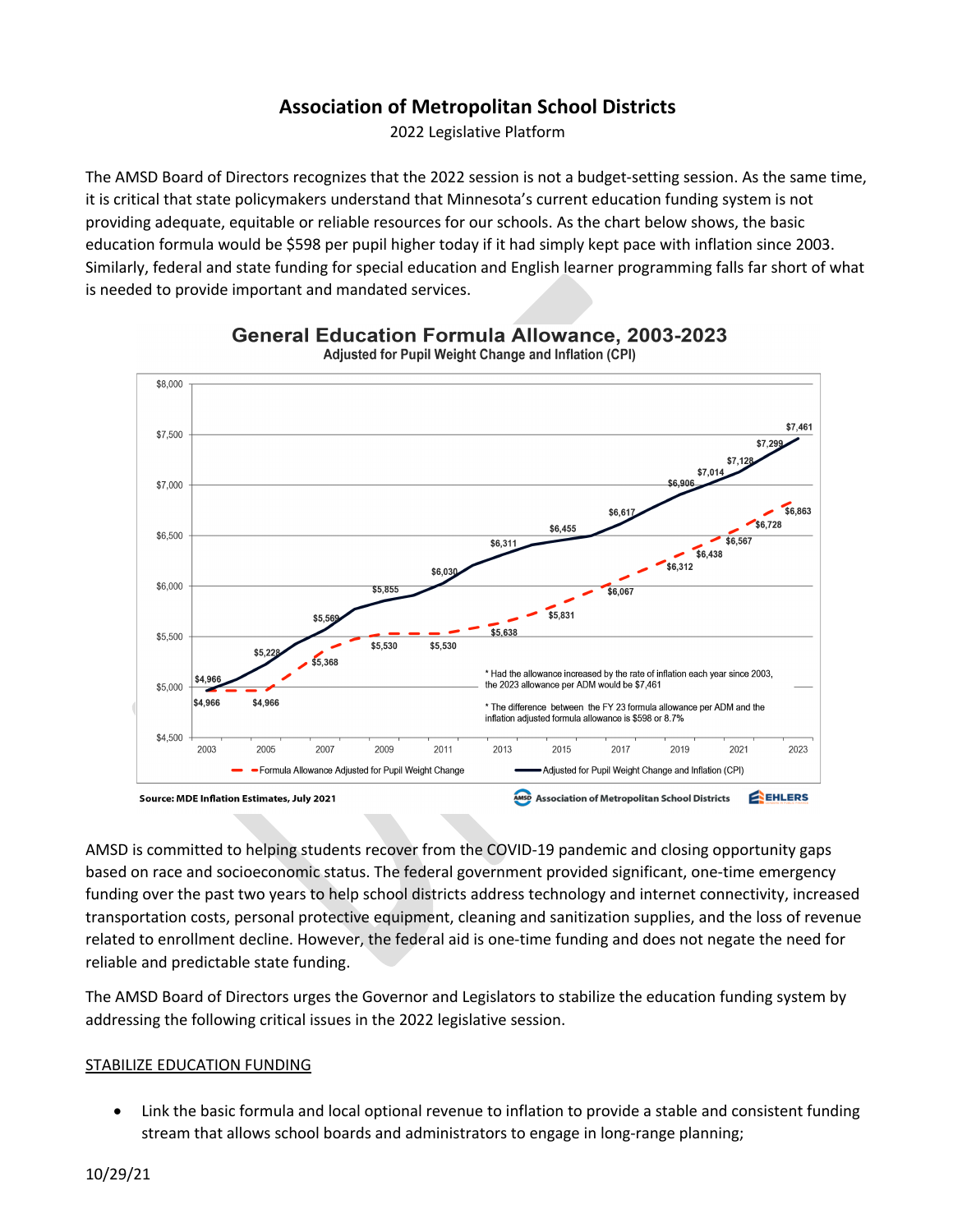# **Association of Metropolitan School Districts**

2022 Legislative Platform

The AMSD Board of Directors recognizes that the 2022 session is not a budget-setting session. As the same time, it is critical that state policymakers understand that Minnesota's current education funding system is not providing adequate, equitable or reliable resources for our schools. As the chart below shows, the basic education formula would be \$598 per pupil higher today if it had simply kept pace with inflation since 2003. Similarly, federal and state funding for special education and English learner programming falls far short of what is needed to provide important and mandated services.



**General Education Formula Allowance, 2003-2023** Adjusted for Pupil Weight Change and Inflation (CPI)

AMSD is committed to helping students recover from the COVID-19 pandemic and closing opportunity gaps based on race and socioeconomic status. The federal government provided significant, one-time emergency funding over the past two years to help school districts address technology and internet connectivity, increased transportation costs, personal protective equipment, cleaning and sanitization supplies, and the loss of revenue related to enrollment decline. However, the federal aid is one-time funding and does not negate the need for reliable and predictable state funding.

The AMSD Board of Directors urges the Governor and Legislators to stabilize the education funding system by addressing the following critical issues in the 2022 legislative session.

## STABILIZE EDUCATION FUNDING

• Link the basic formula and local optional revenue to inflation to provide a stable and consistent funding stream that allows school boards and administrators to engage in long-range planning;